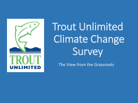

Trout Unlimited Climate Change Survey

The View from the Grassroots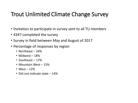## Trout Unlimited Climate Change Survey

- Invitation to participate in survey sent to all TU members
- 4347 completed the survey
- Survey in field between May and August of 2017
- Percentage of responses by region
	- Northeast 24%
	- Midwest 18%
	- Southeast 17%
	- Mountain West 15%
	- West  $-12%$
	- Did not indicate state 14%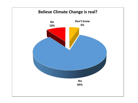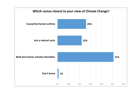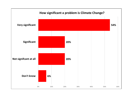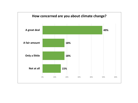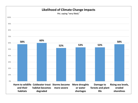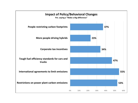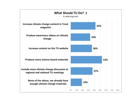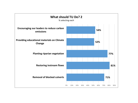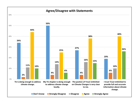